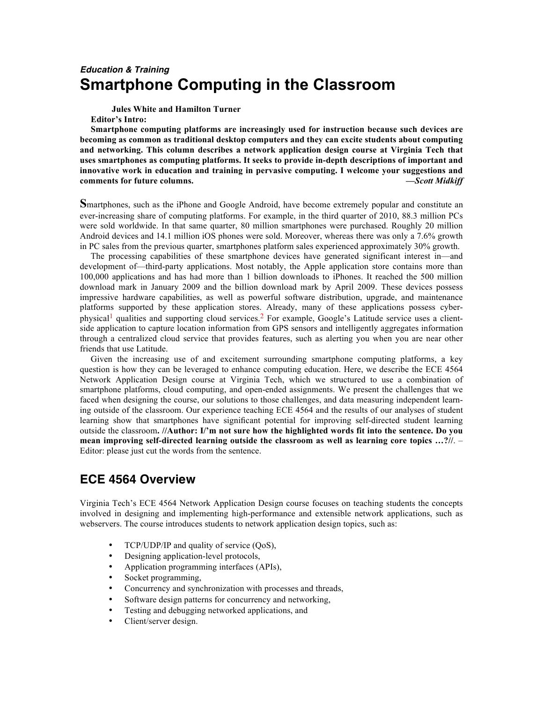# *Education & Training* **Smartphone Computing in the Classroom**

**Jules White and Hamilton Turner**

**Editor's Intro:**

**Smartphone computing platforms are increasingly used for instruction because such devices are becoming as common as traditional desktop computers and they can excite students about computing and networking. This column describes a network application design course at Virginia Tech that uses smartphones as computing platforms. It seeks to provide in-depth descriptions of important and innovative work in education and training in pervasive computing. I welcome your suggestions and comments for future columns.** *—Scott Midkiff*

**S**martphones, such as the iPhone and Google Android, have become extremely popular and constitute an ever-increasing share of computing platforms. For example, in the third quarter of 2010, 88.3 million PCs were sold worldwide. In that same quarter, 80 million smartphones were purchased. Roughly 20 million Android devices and 14.1 million iOS phones were sold. Moreover, whereas there was only a 7.6% growth in PC sales from the previous quarter, smartphones platform sales experienced approximately 30% growth.

The processing capabilities of these smartphone devices have generated significant interest in—and development of—third-party applications. Most notably, the Apple application store contains more than 100,000 applications and has had more than 1 billion downloads to iPhones. It reached the 500 million download mark in January 2009 and the billion download mark by April 2009. These devices possess impressive hardware capabilities, as well as powerful software distribution, upgrade, and maintenance platforms supported by these application stores. Already, many of these applications possess cyberphysical<sup>1</sup> qualities and supporting cloud services.<sup>2</sup> For example, Google's Latitude service uses a clientside application to capture location information from GPS sensors and intelligently aggregates information through a centralized cloud service that provides features, such as alerting you when you are near other friends that use Latitude.

Given the increasing use of and excitement surrounding smartphone computing platforms, a key question is how they can be leveraged to enhance computing education. Here, we describe the ECE 4564 Network Application Design course at Virginia Tech, which we structured to use a combination of smartphone platforms, cloud computing, and open-ended assignments. We present the challenges that we faced when designing the course, our solutions to those challenges, and data measuring independent learning outside of the classroom. Our experience teaching ECE 4564 and the results of our analyses of student learning show that smartphones have significant potential for improving self-directed student learning outside the classroom**. //Author: I/'m not sure how the highlighted words fit into the sentence. Do you mean improving self-directed learning outside the classroom as well as learning core topics …?//**. – Editor: please just cut the words from the sentence.

## **ECE 4564 Overview**

Virginia Tech's ECE 4564 Network Application Design course focuses on teaching students the concepts involved in designing and implementing high-performance and extensible network applications, such as webservers. The course introduces students to network application design topics, such as:

- TCP/UDP/IP and quality of service (OoS),
- Designing application-level protocols,
- Application programming interfaces (APIs),
- Socket programming,
- Concurrency and synchronization with processes and threads,
- Software design patterns for concurrency and networking,
- Testing and debugging networked applications, and
- Client/server design.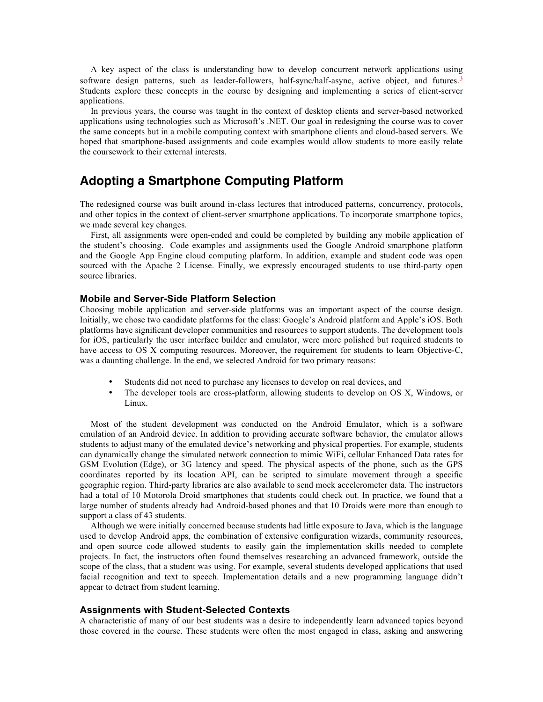A key aspect of the class is understanding how to develop concurrent network applications using software design patterns, such as leader-followers, half-sync/half-async, active object, and futures.<sup>3</sup> Students explore these concepts in the course by designing and implementing a series of client-server applications.

In previous years, the course was taught in the context of desktop clients and server-based networked applications using technologies such as Microsoft's .NET. Our goal in redesigning the course was to cover the same concepts but in a mobile computing context with smartphone clients and cloud-based servers. We hoped that smartphone-based assignments and code examples would allow students to more easily relate the coursework to their external interests.

### **Adopting a Smartphone Computing Platform**

The redesigned course was built around in-class lectures that introduced patterns, concurrency, protocols, and other topics in the context of client-server smartphone applications. To incorporate smartphone topics, we made several key changes.

First, all assignments were open-ended and could be completed by building any mobile application of the student's choosing. Code examples and assignments used the Google Android smartphone platform and the Google App Engine cloud computing platform. In addition, example and student code was open sourced with the Apache 2 License. Finally, we expressly encouraged students to use third-party open source libraries.

#### **Mobile and Server-Side Platform Selection**

Choosing mobile application and server-side platforms was an important aspect of the course design. Initially, we chose two candidate platforms for the class: Google's Android platform and Apple's iOS. Both platforms have significant developer communities and resources to support students. The development tools for iOS, particularly the user interface builder and emulator, were more polished but required students to have access to OS X computing resources. Moreover, the requirement for students to learn Objective-C, was a daunting challenge. In the end, we selected Android for two primary reasons:

- Students did not need to purchase any licenses to develop on real devices, and
- The developer tools are cross-platform, allowing students to develop on OS X, Windows, or Linux.

Most of the student development was conducted on the Android Emulator, which is a software emulation of an Android device. In addition to providing accurate software behavior, the emulator allows students to adjust many of the emulated device's networking and physical properties. For example, students can dynamically change the simulated network connection to mimic WiFi, cellular Enhanced Data rates for GSM Evolution (Edge), or 3G latency and speed. The physical aspects of the phone, such as the GPS coordinates reported by its location API, can be scripted to simulate movement through a specific geographic region. Third-party libraries are also available to send mock accelerometer data. The instructors had a total of 10 Motorola Droid smartphones that students could check out. In practice, we found that a large number of students already had Android-based phones and that 10 Droids were more than enough to support a class of 43 students.

Although we were initially concerned because students had little exposure to Java, which is the language used to develop Android apps, the combination of extensive configuration wizards, community resources, and open source code allowed students to easily gain the implementation skills needed to complete projects. In fact, the instructors often found themselves researching an advanced framework, outside the scope of the class, that a student was using. For example, several students developed applications that used facial recognition and text to speech. Implementation details and a new programming language didn't appear to detract from student learning.

#### **Assignments with Student-Selected Contexts**

A characteristic of many of our best students was a desire to independently learn advanced topics beyond those covered in the course. These students were often the most engaged in class, asking and answering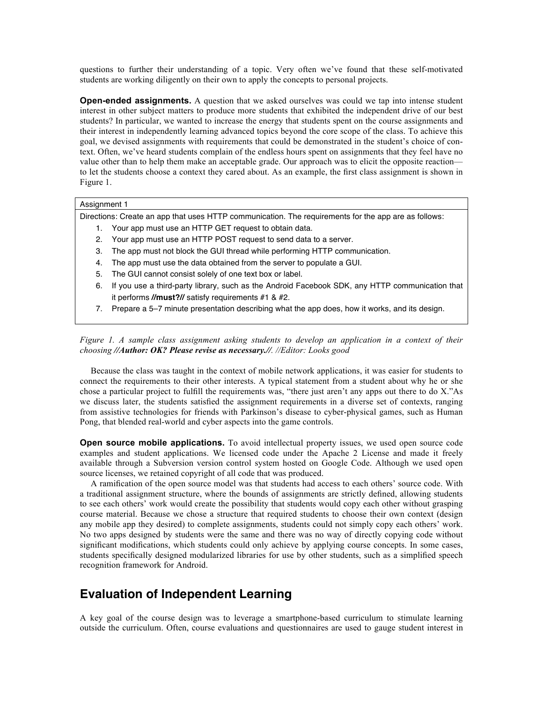questions to further their understanding of a topic. Very often we've found that these self-motivated students are working diligently on their own to apply the concepts to personal projects.

**Open-ended assignments.** A question that we asked ourselves was could we tap into intense student interest in other subject matters to produce more students that exhibited the independent drive of our best students? In particular, we wanted to increase the energy that students spent on the course assignments and their interest in independently learning advanced topics beyond the core scope of the class. To achieve this goal, we devised assignments with requirements that could be demonstrated in the student's choice of context. Often, we've heard students complain of the endless hours spent on assignments that they feel have no value other than to help them make an acceptable grade. Our approach was to elicit the opposite reaction to let the students choose a context they cared about. As an example, the first class assignment is shown in Figure 1.

#### Assignment 1

Directions: Create an app that uses HTTP communication. The requirements for the app are as follows:

- 1. Your app must use an HTTP GET request to obtain data.
- 2. Your app must use an HTTP POST request to send data to a server.
- 3. The app must not block the GUI thread while performing HTTP communication.
- 4. The app must use the data obtained from the server to populate a GUI.
- 5. The GUI cannot consist solely of one text box or label.
- 6. If you use a third-party library, such as the Android Facebook SDK, any HTTP communication that it performs **//must?//** satisfy requirements #1 & #2.
- 7. Prepare a 5–7 minute presentation describing what the app does, how it works, and its design.

*Figure 1. A sample class assignment asking students to develop an application in a context of their choosing //Author: OK? Please revise as necessary.//. //Editor: Looks good*

Because the class was taught in the context of mobile network applications, it was easier for students to connect the requirements to their other interests. A typical statement from a student about why he or she chose a particular project to fulfill the requirements was, "there just aren't any apps out there to do X."As we discuss later, the students satisfied the assignment requirements in a diverse set of contexts, ranging from assistive technologies for friends with Parkinson's disease to cyber-physical games, such as Human Pong, that blended real-world and cyber aspects into the game controls.

**Open source mobile applications.** To avoid intellectual property issues, we used open source code examples and student applications. We licensed code under the Apache 2 License and made it freely available through a Subversion version control system hosted on Google Code. Although we used open source licenses, we retained copyright of all code that was produced.

A ramification of the open source model was that students had access to each others' source code. With a traditional assignment structure, where the bounds of assignments are strictly defined, allowing students to see each others' work would create the possibility that students would copy each other without grasping course material. Because we chose a structure that required students to choose their own context (design any mobile app they desired) to complete assignments, students could not simply copy each others' work. No two apps designed by students were the same and there was no way of directly copying code without significant modifications, which students could only achieve by applying course concepts. In some cases, students specifically designed modularized libraries for use by other students, such as a simplified speech recognition framework for Android.

### **Evaluation of Independent Learning**

A key goal of the course design was to leverage a smartphone-based curriculum to stimulate learning outside the curriculum. Often, course evaluations and questionnaires are used to gauge student interest in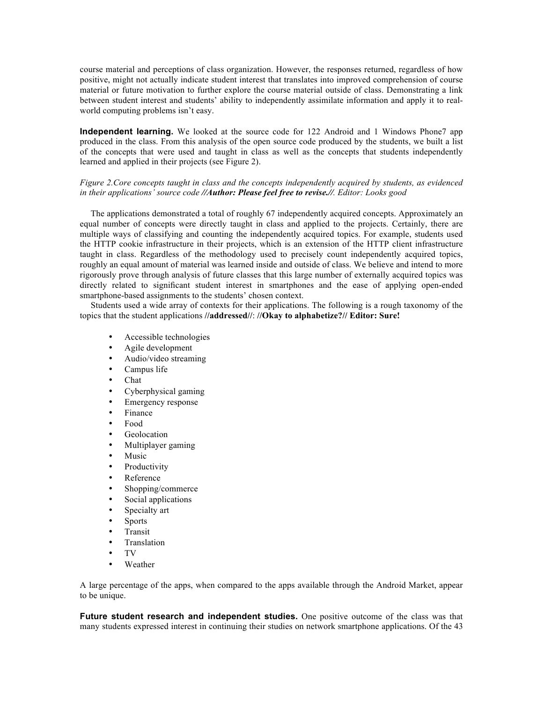course material and perceptions of class organization. However, the responses returned, regardless of how positive, might not actually indicate student interest that translates into improved comprehension of course material or future motivation to further explore the course material outside of class. Demonstrating a link between student interest and students' ability to independently assimilate information and apply it to realworld computing problems isn't easy.

**Independent learning.** We looked at the source code for 122 Android and 1 Windows Phone7 app produced in the class. From this analysis of the open source code produced by the students, we built a list of the concepts that were used and taught in class as well as the concepts that students independently learned and applied in their projects (see Figure 2).

#### *Figure 2.Core concepts taught in class and the concepts independently acquired by students, as evidenced in their applications' source code //Author: Please feel free to revise.//. Editor: Looks good*

The applications demonstrated a total of roughly 67 independently acquired concepts. Approximately an equal number of concepts were directly taught in class and applied to the projects. Certainly, there are multiple ways of classifying and counting the independently acquired topics. For example, students used the HTTP cookie infrastructure in their projects, which is an extension of the HTTP client infrastructure taught in class. Regardless of the methodology used to precisely count independently acquired topics, roughly an equal amount of material was learned inside and outside of class. We believe and intend to more rigorously prove through analysis of future classes that this large number of externally acquired topics was directly related to significant student interest in smartphones and the ease of applying open-ended smartphone-based assignments to the students' chosen context.

Students used a wide array of contexts for their applications. The following is a rough taxonomy of the topics that the student applications **//addressed//**: **//Okay to alphabetize?// Editor: Sure!**

- Accessible technologies
- Agile development
- Audio/video streaming
- Campus life
- Chat
- Cyberphysical gaming
- Emergency response
- Finance<br>• Food
- Food
- **Geolocation**
- Multiplayer gaming
- **Music**
- **Productivity**
- **Reference**
- Shopping/commerce
- Social applications
- Specialty art
- **Sports**
- **Transit**
- **Translation**
- TV
- **Weather**

A large percentage of the apps, when compared to the apps available through the Android Market, appear to be unique.

**Future student research and independent studies.** One positive outcome of the class was that many students expressed interest in continuing their studies on network smartphone applications. Of the 43